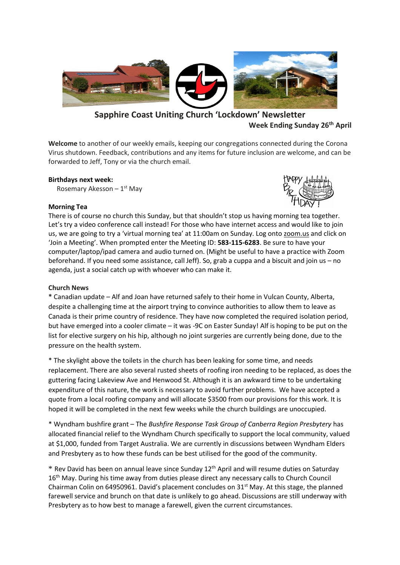

# **Sapphire Coast Uniting Church 'Lockdown' Newsletter Week Ending Sunday 26th April**

**Welcome** to another of our weekly emails, keeping our congregations connected during the Corona Virus shutdown. Feedback, contributions and any items for future inclusion are welcome, and can be forwarded to Jeff, Tony or via the church email.

### **Birthdays next week:**

Rosemary Akesson – 1<sup>st</sup> May

### **Morning Tea**



There is of course no church this Sunday, but that shouldn't stop us having morning tea together. Let's try a video conference call instead! For those who have internet access and would like to join us, we are going to try a 'virtual morning tea' at 11:00am on Sunday. Log onto zoom.us and click on 'Join a Meeting'. When prompted enter the Meeting ID: **583-115-6283**. Be sure to have your computer/laptop/ipad camera and audio turned on. (Might be useful to have a practice with Zoom beforehand. If you need some assistance, call Jeff). So, grab a cuppa and a biscuit and join us – no agenda, just a social catch up with whoever who can make it.

### **Church News**

**\*** Canadian update – Alf and Joan have returned safely to their home in Vulcan County, Alberta, despite a challenging time at the airport trying to convince authorities to allow them to leave as Canada is their prime country of residence. They have now completed the required isolation period, but have emerged into a cooler climate – it was -9C on Easter Sunday! Alf is hoping to be put on the list for elective surgery on his hip, although no joint surgeries are currently being done, due to the pressure on the health system.

\* The skylight above the toilets in the church has been leaking for some time, and needs replacement. There are also several rusted sheets of roofing iron needing to be replaced, as does the guttering facing Lakeview Ave and Henwood St. Although it is an awkward time to be undertaking expenditure of this nature, the work is necessary to avoid further problems. We have accepted a quote from a local roofing company and will allocate \$3500 from our provisions for this work. It is hoped it will be completed in the next few weeks while the church buildings are unoccupied.

\* Wyndham bushfire grant – The *Bushfire Response Task Group of Canberra Region Presbytery* has allocated financial relief to the Wyndham Church specifically to support the local community, valued at \$1,000, funded from Target Australia. We are currently in discussions between Wyndham Elders and Presbytery as to how these funds can be best utilised for the good of the community.

\* Rev David has been on annual leave since Sunday 12 th April and will resume duties on Saturday 16<sup>th</sup> May. During his time away from duties please direct any necessary calls to Church Council Chairman Colin on 64950961. David's placement concludes on  $31<sup>st</sup>$  May. At this stage, the planned farewell service and brunch on that date is unlikely to go ahead. Discussions are still underway with Presbytery as to how best to manage a farewell, given the current circumstances.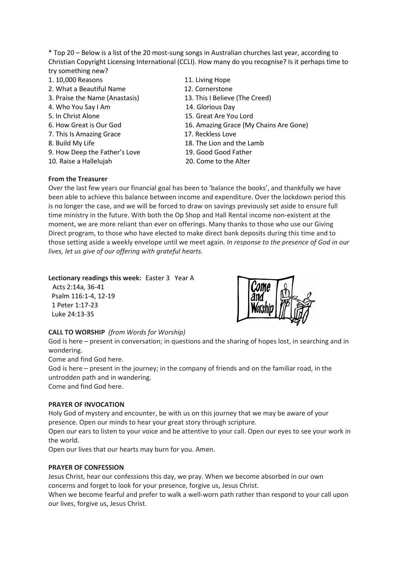\* Top 20 – Below is a list of the 20 most-sung songs in Australian churches last year, according to Christian Copyright Licensing International (CCLI). How many do you recognise? Is it perhaps time to try something new?

- 1. 10,000 Reasons 11. Living Hope
- 2. What a Beautiful Name 12. Cornerstone
- 3. Praise the Name (Anastasis) 13. This I Believe (The Creed)
- 4. Who You Say I Am 14. Glorious Day
- 
- 
- 7. This Is Amazing Grace 17. Reckless Love
- 
- 9. How Deep the Father's Love 19. Good Good Father
- 10. Raise a Hallelujah 20. Come to the Alter
- 
- 
- 
- 
- 5. In Christ Alone 15. Great Are You Lord
- 6. How Great is Our God 16. Amazing Grace (My Chains Are Gone)
	-
- 8. Build My Life 18. The Lion and the Lamb
	-
	-

### **From the Treasurer**

Over the last few years our financial goal has been to 'balance the books', and thankfully we have been able to achieve this balance between income and expenditure. Over the lockdown period this is no longer the case, and we will be forced to draw on savings previously set aside to ensure full time ministry in the future. With both the Op Shop and Hall Rental income non-existent at the moment, we are more reliant than ever on offerings. Many thanks to those who use our Giving Direct program, to those who have elected to make direct bank deposits during this time and to those setting aside a weekly envelope until we meet again. *In response to the presence of God in our lives, let us give of our offering with grateful hearts.*

### **Lectionary readings this week:** Easter 3 Year A

 Acts 2:14a, 36-41 Psalm 116:1-4, 12-19 1 Peter 1:17-23 Luke 24:13-35



## **CALL TO WORSHIP** *(from Words for Worship)*

God is here – present in conversation; in questions and the sharing of hopes lost, in searching and in wondering.

Come and find God here.

God is here – present in the journey; in the company of friends and on the familiar road, in the untrodden path and in wandering.

Come and find God here.

## **PRAYER OF INVOCATION**

Holy God of mystery and encounter, be with us on this journey that we may be aware of your presence. Open our minds to hear your great story through scripture.

Open our ears to listen to your voice and be attentive to your call. Open our eyes to see your work in the world.

Open our lives that our hearts may burn for you. Amen.

## **PRAYER OF CONFESSION**

Jesus Christ, hear our confessions this day, we pray. When we become absorbed in our own concerns and forget to look for your presence, forgive us, Jesus Christ.

When we become fearful and prefer to walk a well-worn path rather than respond to your call upon our lives, forgive us, Jesus Christ.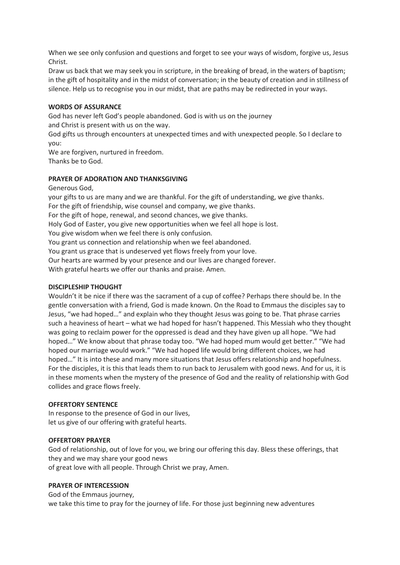When we see only confusion and questions and forget to see your ways of wisdom, forgive us, Jesus Christ.

Draw us back that we may seek you in scripture, in the breaking of bread, in the waters of baptism; in the gift of hospitality and in the midst of conversation; in the beauty of creation and in stillness of silence. Help us to recognise you in our midst, that are paths may be redirected in your ways.

### **WORDS OF ASSURANCE**

God has never left God's people abandoned. God is with us on the journey and Christ is present with us on the way.

God gifts us through encounters at unexpected times and with unexpected people. So I declare to you:

We are forgiven, nurtured in freedom. Thanks be to God.

#### **PRAYER OF ADORATION AND THANKSGIVING**

Generous God,

your gifts to us are many and we are thankful. For the gift of understanding, we give thanks. For the gift of friendship, wise counsel and company, we give thanks. For the gift of hope, renewal, and second chances, we give thanks. Holy God of Easter, you give new opportunities when we feel all hope is lost. You give wisdom when we feel there is only confusion. You grant us connection and relationship when we feel abandoned. You grant us grace that is undeserved yet flows freely from your love. Our hearts are warmed by your presence and our lives are changed forever. With grateful hearts we offer our thanks and praise. Amen.

### **DISCIPLESHIP THOUGHT**

Wouldn't it be nice if there was the sacrament of a cup of coffee? Perhaps there should be. In the gentle conversation with a friend, God is made known. On the Road to Emmaus the disciples say to Jesus, "we had hoped…" and explain who they thought Jesus was going to be. That phrase carries such a heaviness of heart – what we had hoped for hasn't happened. This Messiah who they thought was going to reclaim power for the oppressed is dead and they have given up all hope. "We had hoped…" We know about that phrase today too. "We had hoped mum would get better." "We had hoped our marriage would work." "We had hoped life would bring different choices, we had hoped..." It is into these and many more situations that Jesus offers relationship and hopefulness. For the disciples, it is this that leads them to run back to Jerusalem with good news. And for us, it is in these moments when the mystery of the presence of God and the reality of relationship with God collides and grace flows freely.

#### **OFFERTORY SENTENCE**

In response to the presence of God in our lives, let us give of our offering with grateful hearts.

#### **OFFERTORY PRAYER**

God of relationship, out of love for you, we bring our offering this day. Bless these offerings, that they and we may share your good news of great love with all people. Through Christ we pray, Amen.

#### **PRAYER OF INTERCESSION**

God of the Emmaus journey, we take this time to pray for the journey of life. For those just beginning new adventures